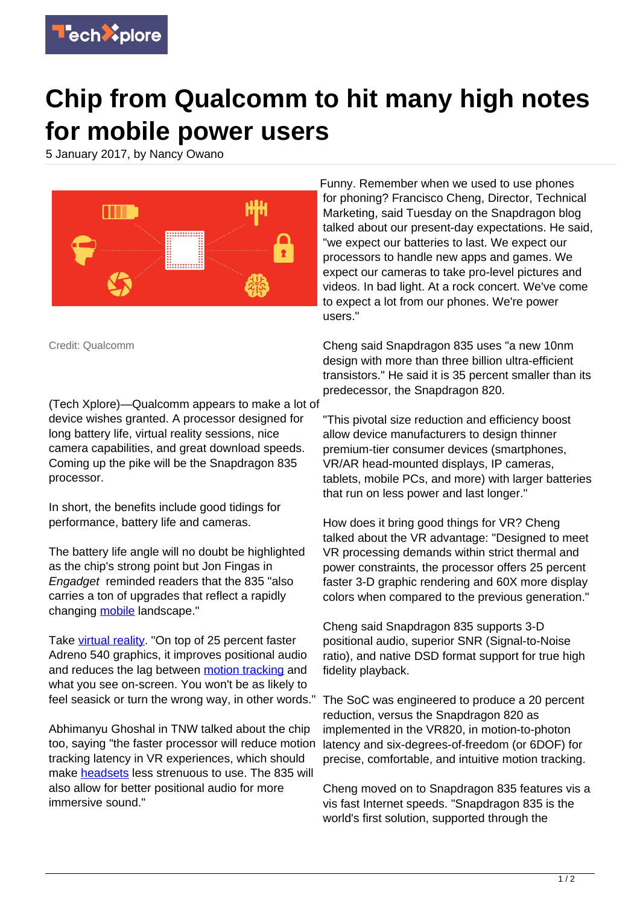

## **Chip from Qualcomm to hit many high notes for mobile power users**

5 January 2017, by Nancy Owano



Credit: Qualcomm

(Tech Xplore)—Qualcomm appears to make a lot of device wishes granted. A processor designed for long battery life, virtual reality sessions, nice camera capabilities, and great download speeds. Coming up the pike will be the Snapdragon 835 processor.

In short, the benefits include good tidings for performance, battery life and cameras.

The battery life angle will no doubt be highlighted as the chip's strong point but Jon Fingas in Engadget reminded readers that the 835 "also carries a ton of upgrades that reflect a rapidly changing [mobile](https://www.engadget.com/2017/01/02/qualcomm-snapdragon-835-at-ces/) landscape."

Take [virtual reality.](https://techxplore.com/tags/virtual+reality/) "On top of 25 percent faster Adreno 540 graphics, it improves positional audio and reduces the lag between [motion tracking](https://techxplore.com/tags/motion+tracking/) and what you see on-screen. You won't be as likely to feel seasick or turn the wrong way, in other words."

Abhimanyu Ghoshal in TNW talked about the chip too, saying "the faster processor will reduce motion tracking latency in VR experiences, which should make [headsets](http://thenextweb.com/mobile/2017/01/03/qualcomms-snapdragon-835-chip-promises-better-battery-life-photography-and-vr/) less strenuous to use. The 835 will also allow for better positional audio for more immersive sound."

Funny. Remember when we used to use phones for phoning? Francisco Cheng, Director, Technical Marketing, said Tuesday on the Snapdragon blog talked about our present-day expectations. He said, "we expect our batteries to last. We expect our processors to handle new apps and games. We expect our cameras to take pro-level pictures and videos. In bad light. At a rock concert. We've come to expect a lot from our phones. We're power users."

Cheng said Snapdragon 835 uses "a new 10nm design with more than three billion ultra-efficient transistors." He said it is 35 percent smaller than its predecessor, the Snapdragon 820.

"This pivotal size reduction and efficiency boost allow device manufacturers to design thinner premium-tier consumer devices (smartphones, VR/AR head-mounted displays, IP cameras, tablets, mobile PCs, and more) with larger batteries that run on less power and last longer."

How does it bring good things for VR? Cheng talked about the VR advantage: "Designed to meet VR processing demands within strict thermal and power constraints, the processor offers 25 percent faster 3-D graphic rendering and 60X more display colors when compared to the previous generation."

Cheng said Snapdragon 835 supports 3-D positional audio, superior SNR (Signal-to-Noise ratio), and native DSD format support for true high fidelity playback.

The SoC was engineered to produce a 20 percent reduction, versus the Snapdragon 820 as implemented in the VR820, in motion-to-photon latency and six-degrees-of-freedom (or 6DOF) for precise, comfortable, and intuitive motion tracking.

Cheng moved on to Snapdragon 835 features vis a vis fast Internet speeds. "Snapdragon 835 is the world's first solution, supported through the